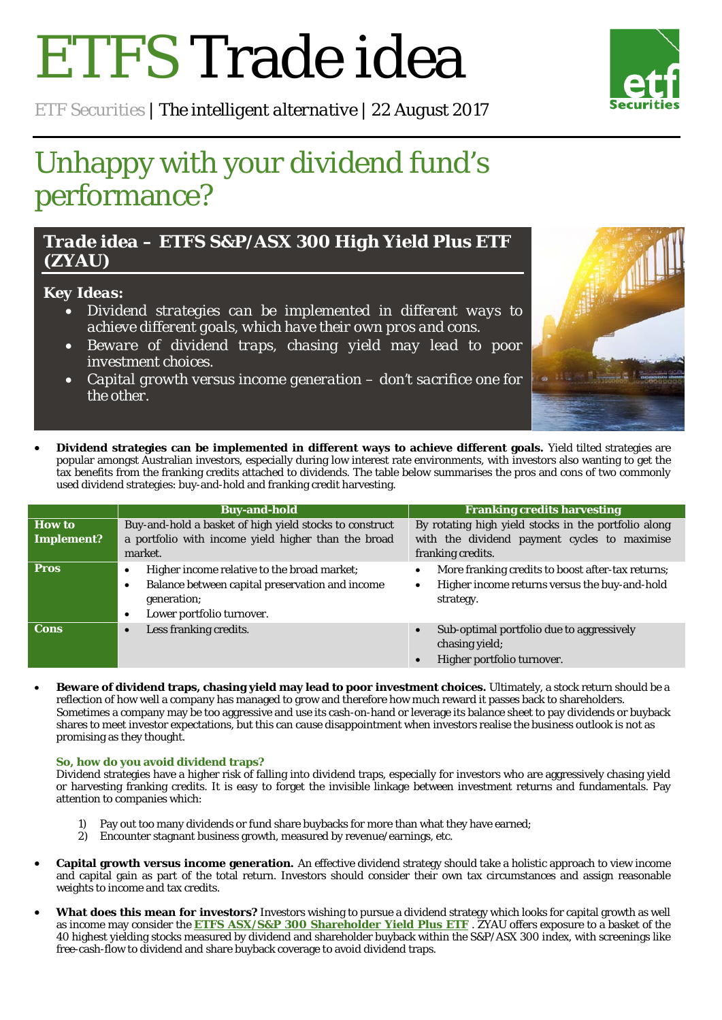# ETFS Trade idea

*ETF Securities | The intelligent alternative | 22 August 2017*

# Unhappy with your dividend fund's performance?

d *Trade idea – ETFS S&P/ASX 300 High Yield Plus ETF (ZYAU)*

## *Key Ideas:*

- *Dividend strategies can be implemented in different ways to achieve different goals, which have their own pros and cons.*
- *Beware of dividend traps, chasing yield may lead to poor investment choices.*
- *Capital growth versus income generation – don't sacrifice one for the other.*
- **Dividend strategies can be implemented in different ways to achieve different goals.** Yield tilted strategies are popular amongst Australian investors, especially during low interest rate environments, with investors also wanting to get the tax benefits from the franking credits attached to dividends. The table below summarises the pros and cons of two commonly used dividend strategies: buy-and-hold and franking credit harvesting.

|             | <b>Buy-and-hold</b>                                                                                                                                                       | <b>Franking credits harvesting</b>                                                                                           |
|-------------|---------------------------------------------------------------------------------------------------------------------------------------------------------------------------|------------------------------------------------------------------------------------------------------------------------------|
| How to      | Buy-and-hold a basket of high yield stocks to construct                                                                                                                   | By rotating high yield stocks in the portfolio along                                                                         |
| Implement?  | a portfolio with income yield higher than the broad                                                                                                                       | with the dividend payment cycles to maximise                                                                                 |
|             | market.                                                                                                                                                                   | franking credits.                                                                                                            |
| <b>Pros</b> | Higher income relative to the broad market;<br>٠<br>Balance between capital preservation and income<br>$\bullet$<br>generation;<br>Lower portfolio turnover.<br>$\bullet$ | More franking credits to boost after-tax returns;<br>Higher income returns versus the buy-and-hold<br>$\bullet$<br>strategy. |
| <b>Cons</b> | Less franking credits.<br>$\bullet$                                                                                                                                       | Sub-optimal portfolio due to aggressively<br>chasing yield;<br>Higher portfolio turnover.                                    |

• **Beware of dividend traps, chasing yield may lead to poor investment choices.** Ultimately, a stock return should be a reflection of how well a company has managed to grow and therefore how much reward it passes back to shareholders. Sometimes a company may be too aggressive and use its cash-on-hand or leverage its balance sheet to pay dividends or buyback shares to meet investor expectations, but this can cause disappointment when investors realise the business outlook is not as promising as they thought.

### **So, how do you avoid dividend traps?**

Dividend strategies have a higher risk of falling into dividend traps, especially for investors who are aggressively chasing yield or harvesting franking credits. It is easy to forget the invisible linkage between investment returns and fundamentals. Pay attention to companies which:

- 1) Pay out too many dividends or fund share buybacks for more than what they have earned;
- 2) Encounter stagnant business growth, measured by revenue/earnings, etc.
- **Capital growth versus income generation.** An effective dividend strategy should take a holistic approach to view income and capital gain as part of the total return. Investors should consider their own tax circumstances and assign reasonable weights to income and tax credits.
- **What does this mean for investors?** Investors wishing to pursue a dividend strategy which looks for capital growth as well as income may consider the **ETFS ASX/S&P 300 [Shareholder Yield Plus ETF](https://www.etfsecurities.com/institutional/au/en-gb/products/product/etfs-s-p-asx-300-high-yield-plus-etf-zyau-asx)** . ZYAU offers exposure to a basket of the 40 highest yielding stocks measured by dividend and shareholder buyback within the S&P/ASX 300 index, with screenings like free-cash-flow to dividend and share buyback coverage to avoid dividend traps.